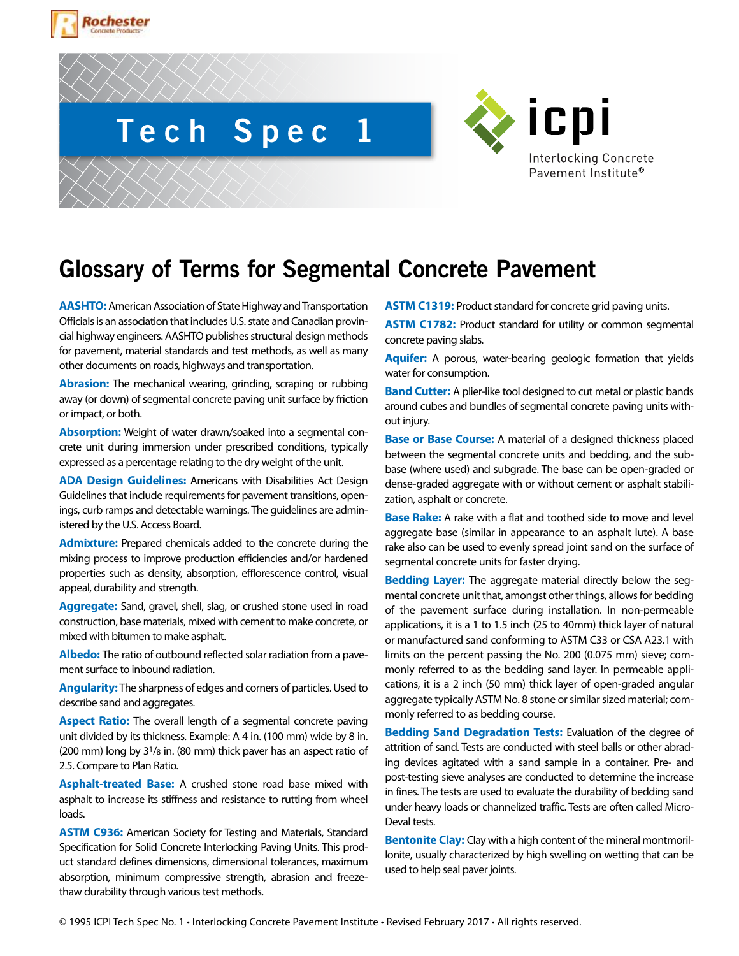





## **Glossary of Terms for Segmental Concrete Pavement**

**AASHTO:** American Association of State Highway and Transportation Officials is an association that includes U.S. state and Canadian provincial highway engineers. AASHTO publishes structural design methods for pavement, material standards and test methods, as well as many other documents on roads, highways and transportation.

**Abrasion:** The mechanical wearing, grinding, scraping or rubbing away (or down) of segmental concrete paving unit surface by friction or impact, or both.

**Absorption:** Weight of water drawn/soaked into a segmental concrete unit during immersion under prescribed conditions, typically expressed as a percentage relating to the dry weight of the unit.

**ADA Design Guidelines:** Americans with Disabilities Act Design Guidelines that include requirements for pavement transitions, openings, curb ramps and detectable warnings. The guidelines are administered by the U.S. Access Board.

**Admixture:** Prepared chemicals added to the concrete during the mixing process to improve production efficiencies and/or hardened properties such as density, absorption, efflorescence control, visual appeal, durability and strength.

**Aggregate:** Sand, gravel, shell, slag, or crushed stone used in road construction, base materials, mixed with cement to make concrete, or mixed with bitumen to make asphalt.

**Albedo:** The ratio of outbound reflected solar radiation from a pavement surface to inbound radiation.

**Angularity:** The sharpness of edges and corners of particles. Used to describe sand and aggregates.

**Aspect Ratio:** The overall length of a segmental concrete paving unit divided by its thickness. Example: A 4 in. (100 mm) wide by 8 in. (200 mm) long by 31/8 in. (80 mm) thick paver has an aspect ratio of 2.5. Compare to Plan Ratio.

**Asphalt-treated Base:** A crushed stone road base mixed with asphalt to increase its stiffness and resistance to rutting from wheel loads.

**ASTM C936:** American Society for Testing and Materials, Standard Specification for Solid Concrete Interlocking Paving Units. This product standard defines dimensions, dimensional tolerances, maximum absorption, minimum compressive strength, abrasion and freezethaw durability through various test methods.

**ASTM C1319:** Product standard for concrete grid paving units.

**ASTM C1782:** Product standard for utility or common segmental concrete paving slabs.

**Aquifer:** A porous, water-bearing geologic formation that yields water for consumption.

**Band Cutter:** A plier-like tool designed to cut metal or plastic bands around cubes and bundles of segmental concrete paving units without injury.

**Base or Base Course:** A material of a designed thickness placed between the segmental concrete units and bedding, and the subbase (where used) and subgrade. The base can be open-graded or dense-graded aggregate with or without cement or asphalt stabilization, asphalt or concrete.

**Base Rake:** A rake with a flat and toothed side to move and level aggregate base (similar in appearance to an asphalt lute). A base rake also can be used to evenly spread joint sand on the surface of segmental concrete units for faster drying.

**Bedding Layer:** The aggregate material directly below the segmental concrete unit that, amongst other things, allows for bedding of the pavement surface during installation. In non-permeable applications, it is a 1 to 1.5 inch (25 to 40mm) thick layer of natural or manufactured sand conforming to ASTM C33 or CSA A23.1 with limits on the percent passing the No. 200 (0.075 mm) sieve; commonly referred to as the bedding sand layer. In permeable applications, it is a 2 inch (50 mm) thick layer of open-graded angular aggregate typically ASTM No. 8 stone or similar sized material; commonly referred to as bedding course.

**Bedding Sand Degradation Tests:** Evaluation of the degree of attrition of sand. Tests are conducted with steel balls or other abrading devices agitated with a sand sample in a container. Pre- and post-testing sieve analyses are conducted to determine the increase in fines. The tests are used to evaluate the durability of bedding sand under heavy loads or channelized traffic. Tests are often called Micro-Deval tests.

**Bentonite Clay:** Clay with a high content of the mineral montmorillonite, usually characterized by high swelling on wetting that can be used to help seal paver joints.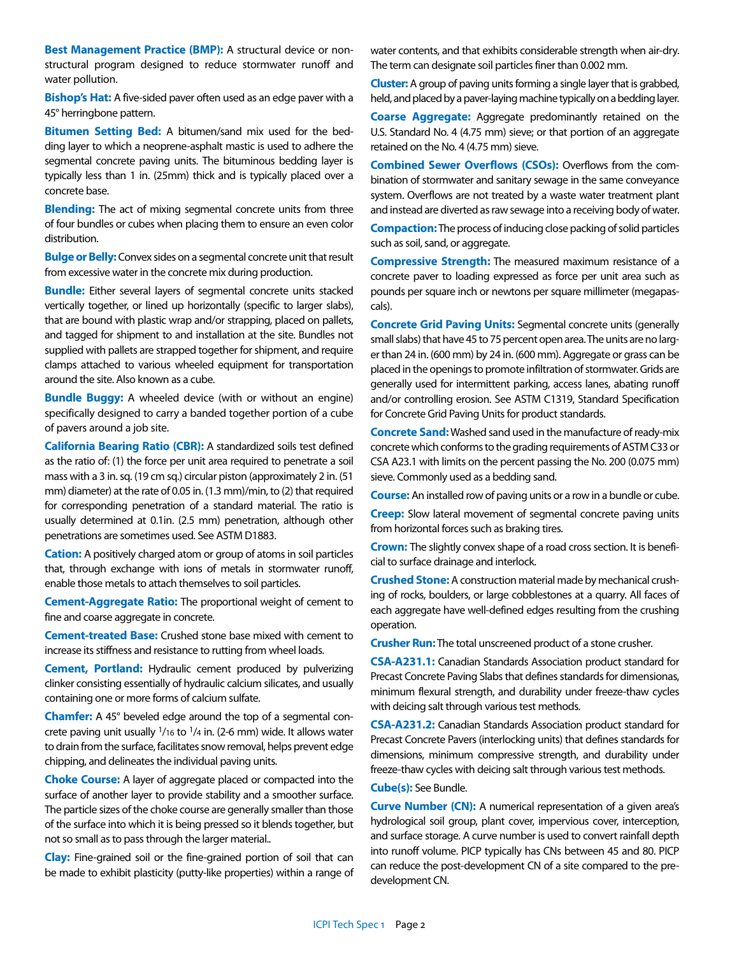**Best Management Practice (BMP):** A structural device or nonstructural program designed to reduce stormwater runoff and water pollution.

**Bishop's Hat:** A five-sided paver often used as an edge paver with a 45° herringbone pattern.

**Bitumen Setting Bed:** A bitumen/sand mix used for the bedding layer to which a neoprene-asphalt mastic is used to adhere the segmental concrete paving units. The bituminous bedding layer is typically less than 1 in. (25mm) thick and is typically placed over a concrete base.

**Blending:** The act of mixing segmental concrete units from three of four bundles or cubes when placing them to ensure an even color distribution.

**Bulge or Belly:** Convex sides on a segmental concrete unit that result from excessive water in the concrete mix during production.

**Bundle:** Either several layers of segmental concrete units stacked vertically together, or lined up horizontally (specific to larger slabs), that are bound with plastic wrap and/or strapping, placed on pallets, and tagged for shipment to and installation at the site. Bundles not supplied with pallets are strapped together for shipment, and require clamps attached to various wheeled equipment for transportation around the site. Also known as a cube.

**Bundle Buggy:** A wheeled device (with or without an engine) specifically designed to carry a banded together portion of a cube of pavers around a job site.

**California Bearing Ratio (CBR):** A standardized soils test defined as the ratio of: (1) the force per unit area required to penetrate a soil mass with a 3 in. sq. (19 cm sq.) circular piston (approximately 2 in. (51 mm) diameter) at the rate of 0.05 in. (1.3 mm)/min, to (2) that required for corresponding penetration of a standard material. The ratio is usually determined at 0.1in. (2.5 mm) penetration, although other penetrations are sometimes used. See ASTM D1883.

**Cation:** A positively charged atom or group of atoms in soil particles that, through exchange with ions of metals in stormwater runoff, enable those metals to attach themselves to soil particles.

**Cement-Aggregate Ratio:** The proportional weight of cement to fine and coarse aggregate in concrete.

**Cement-treated Base:** Crushed stone base mixed with cement to increase its stiffness and resistance to rutting from wheel loads.

**Cement, Portland:** Hydraulic cement produced by pulverizing clinker consisting essentially of hydraulic calcium silicates, and usually containing one or more forms of calcium sulfate.

**Chamfer:** A 45° beveled edge around the top of a segmental concrete paving unit usually 1/16 to 1/4 in. (2-6 mm) wide. It allows water to drain from the surface, facilitates snow removal, helps prevent edge chipping, and delineates the individual paving units.

**Choke Course:** A layer of aggregate placed or compacted into the surface of another layer to provide stability and a smoother surface. The particle sizes of the choke course are generally smaller than those of the surface into which it is being pressed so it blends together, but not so small as to pass through the larger material..

**Clay:** Fine-grained soil or the fine-grained portion of soil that can be made to exhibit plasticity (putty-like properties) within a range of water contents, and that exhibits considerable strength when air-dry. The term can designate soil particles finer than 0.002 mm.

**Cluster:** A group of paving units forming a single layer that is grabbed, held, and placed by a paver-laying machine typically on a bedding layer.

**Coarse Aggregate:** Aggregate predominantly retained on the U.S. Standard No. 4 (4.75 mm) sieve; or that portion of an aggregate retained on the No. 4 (4.75 mm) sieve.

**Combined Sewer Overflows (CSOs):** Overflows from the combination of stormwater and sanitary sewage in the same conveyance system. Overflows are not treated by a waste water treatment plant and instead are diverted as raw sewage into a receiving body of water.

**Compaction:** The process of inducing close packing of solid particles such as soil, sand, or aggregate.

**Compressive Strength:** The measured maximum resistance of a concrete paver to loading expressed as force per unit area such as pounds per square inch or newtons per square millimeter (megapascals).

**Concrete Grid Paving Units:** Segmental concrete units (generally small slabs) that have 45 to 75 percent open area. The units are no larger than 24 in. (600 mm) by 24 in. (600 mm). Aggregate or grass can be placed in the openings to promote infiltration of stormwater. Grids are generally used for intermittent parking, access lanes, abating runoff and/or controlling erosion. See ASTM C1319, Standard Specification for Concrete Grid Paving Units for product standards.

**Concrete Sand:** Washed sand used in the manufacture of ready-mix concrete which conforms to the grading requirements of ASTM C33 or CSA A23.1 with limits on the percent passing the No. 200 (0.075 mm) sieve. Commonly used as a bedding sand.

**Course:** An installed row of paving units or a row in a bundle or cube.

**Creep:** Slow lateral movement of segmental concrete paving units from horizontal forces such as braking tires.

**Crown:** The slightly convex shape of a road cross section. It is beneficial to surface drainage and interlock.

**Crushed Stone:** A construction material made by mechanical crushing of rocks, boulders, or large cobblestones at a quarry. All faces of each aggregate have well-defined edges resulting from the crushing operation.

**Crusher Run:** The total unscreened product of a stone crusher.

**CSA-A231.1:** Canadian Standards Association product standard for Precast Concrete Paving Slabs that defines standards for dimensionas, minimum flexural strength, and durability under freeze-thaw cycles with deicing salt through various test methods.

**CSA-A231.2:** Canadian Standards Association product standard for Precast Concrete Pavers (interlocking units) that defines standards for dimensions, minimum compressive strength, and durability under freeze-thaw cycles with deicing salt through various test methods.

**Cube(s):** See Bundle.

**Curve Number (CN):** A numerical representation of a given area's hydrological soil group, plant cover, impervious cover, interception, and surface storage. A curve number is used to convert rainfall depth into runoff volume. PICP typically has CNs between 45 and 80. PICP can reduce the post-development CN of a site compared to the predevelopment CN.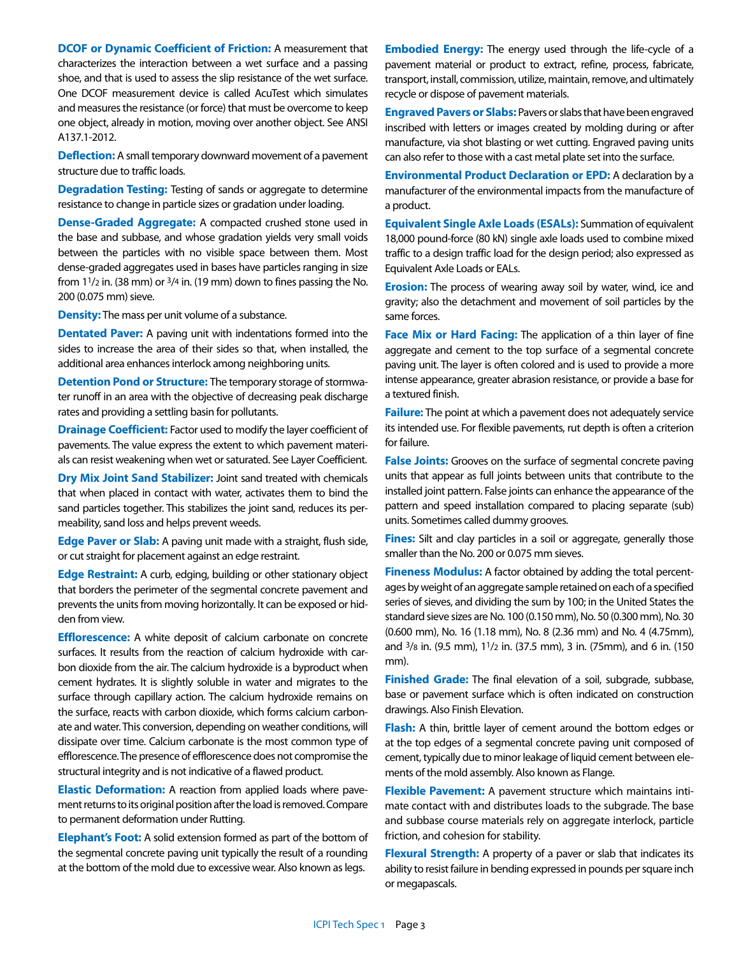**DCOF or Dynamic Coefficient of Friction:** A measurement that characterizes the interaction between a wet surface and a passing shoe, and that is used to assess the slip resistance of the wet surface. One DCOF measurement device is called AcuTest which simulates and measures the resistance (or force) that must be overcome to keep one object, already in motion, moving over another object. See ANSI A137.1-2012.

**Deflection:** A small temporary downward movement of a pavement structure due to traffic loads.

**Degradation Testing:** Testing of sands or aggregate to determine resistance to change in particle sizes or gradation under loading.

**Dense-Graded Aggregate:** A compacted crushed stone used in the base and subbase, and whose gradation yields very small voids between the particles with no visible space between them. Most dense-graded aggregates used in bases have particles ranging in size from  $1\frac{1}{2}$  in. (38 mm) or  $\frac{3}{4}$  in. (19 mm) down to fines passing the No. 200 (0.075 mm) sieve.

**Density:** The mass per unit volume of a substance.

**Dentated Paver:** A paving unit with indentations formed into the sides to increase the area of their sides so that, when installed, the additional area enhances interlock among neighboring units.

**Detention Pond or Structure:** The temporary storage of stormwater runoff in an area with the objective of decreasing peak discharge rates and providing a settling basin for pollutants.

**Drainage Coefficient:** Factor used to modify the layer coefficient of pavements. The value express the extent to which pavement materials can resist weakening when wet or saturated. See Layer Coefficient.

**Dry Mix Joint Sand Stabilizer:** Joint sand treated with chemicals that when placed in contact with water, activates them to bind the sand particles together. This stabilizes the joint sand, reduces its permeability, sand loss and helps prevent weeds.

**Edge Paver or Slab:** A paving unit made with a straight, flush side, or cut straight for placement against an edge restraint.

**Edge Restraint:** A curb, edging, building or other stationary object that borders the perimeter of the segmental concrete pavement and prevents the units from moving horizontally. It can be exposed or hidden from view.

**Efflorescence:** A white deposit of calcium carbonate on concrete surfaces. It results from the reaction of calcium hydroxide with carbon dioxide from the air. The calcium hydroxide is a byproduct when cement hydrates. It is slightly soluble in water and migrates to the surface through capillary action. The calcium hydroxide remains on the surface, reacts with carbon dioxide, which forms calcium carbonate and water. This conversion, depending on weather conditions, will dissipate over time. Calcium carbonate is the most common type of efflorescence. The presence of efflorescence does not compromise the structural integrity and is not indicative of a flawed product.

**Elastic Deformation:** A reaction from applied loads where pavement returns to its original position after the load is removed. Compare to permanent deformation under Rutting.

**Elephant's Foot:** A solid extension formed as part of the bottom of the segmental concrete paving unit typically the result of a rounding at the bottom of the mold due to excessive wear. Also known as legs.

**Embodied Energy:** The energy used through the life-cycle of a pavement material or product to extract, refine, process, fabricate, transport, install, commission, utilize, maintain, remove, and ultimately recycle or dispose of pavement materials.

**Engraved Pavers or Slabs:** Pavers or slabs that have been engraved inscribed with letters or images created by molding during or after manufacture, via shot blasting or wet cutting. Engraved paving units can also refer to those with a cast metal plate set into the surface.

**Environmental Product Declaration or EPD:** A declaration by a manufacturer of the environmental impacts from the manufacture of a product.

**Equivalent Single Axle Loads (ESALs):** Summation of equivalent 18,000 pound-force (80 kN) single axle loads used to combine mixed traffic to a design traffic load for the design period; also expressed as Equivalent Axle Loads or EALs.

**Erosion:** The process of wearing away soil by water, wind, ice and gravity; also the detachment and movement of soil particles by the same forces.

**Face Mix or Hard Facing:** The application of a thin layer of fine aggregate and cement to the top surface of a segmental concrete paving unit. The layer is often colored and is used to provide a more intense appearance, greater abrasion resistance, or provide a base for a textured finish.

**Failure:** The point at which a pavement does not adequately service its intended use. For flexible pavements, rut depth is often a criterion for failure.

**False Joints:** Grooves on the surface of segmental concrete paving units that appear as full joints between units that contribute to the installed joint pattern. False joints can enhance the appearance of the pattern and speed installation compared to placing separate (sub) units. Sometimes called dummy grooves.

**Fines:** Silt and clay particles in a soil or aggregate, generally those smaller than the No. 200 or 0.075 mm sieves.

**Fineness Modulus:** A factor obtained by adding the total percentages by weight of an aggregate sample retained on each of a specified series of sieves, and dividing the sum by 100; in the United States the standard sieve sizes are No. 100 (0.150 mm), No. 50 (0.300 mm), No. 30 (0.600 mm), No. 16 (1.18 mm), No. 8 (2.36 mm) and No. 4 (4.75mm), and 3/8 in. (9.5 mm), 11/2 in. (37.5 mm), 3 in. (75mm), and 6 in. (150 mm).

**Finished Grade:** The final elevation of a soil, subgrade, subbase, base or pavement surface which is often indicated on construction drawings. Also Finish Elevation.

**Flash:** A thin, brittle layer of cement around the bottom edges or at the top edges of a segmental concrete paving unit composed of cement, typically due to minor leakage of liquid cement between elements of the mold assembly. Also known as Flange.

**Flexible Pavement:** A pavement structure which maintains intimate contact with and distributes loads to the subgrade. The base and subbase course materials rely on aggregate interlock, particle friction, and cohesion for stability.

**Flexural Strength:** A property of a paver or slab that indicates its ability to resist failure in bending expressed in pounds per square inch or megapascals.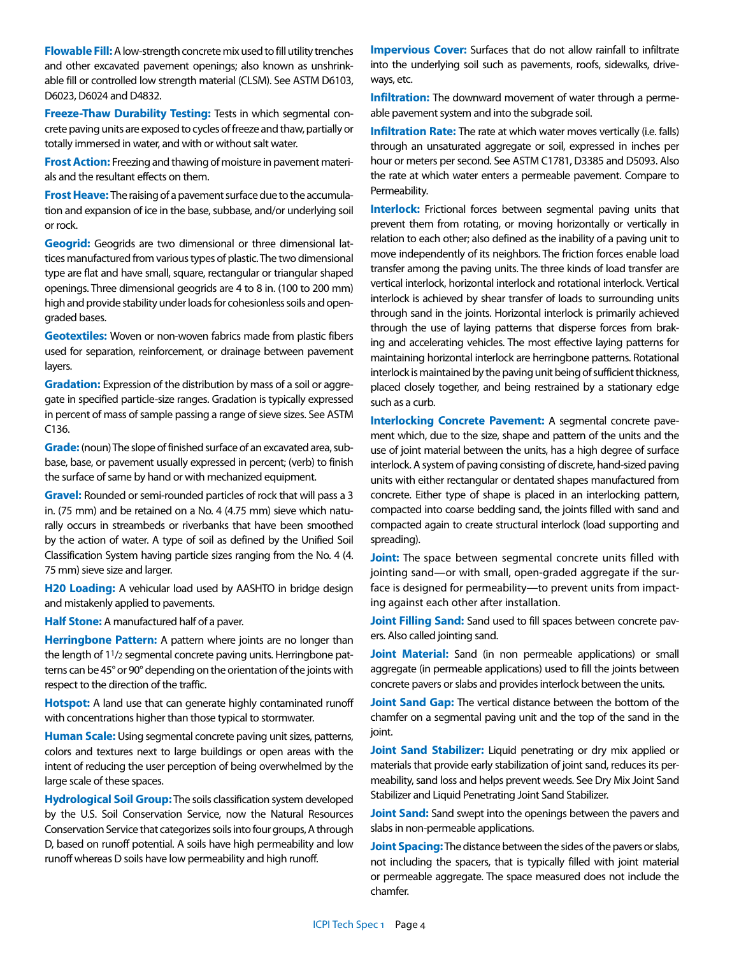**Flowable Fill:** A low-strength concrete mix used to fill utility trenches and other excavated pavement openings; also known as unshrinkable fill or controlled low strength material (CLSM). See ASTM D6103, D6023, D6024 and D4832.

**Freeze-Thaw Durability Testing:** Tests in which segmental concrete paving units are exposed to cycles of freeze and thaw, partially or totally immersed in water, and with or without salt water.

**Frost Action:** Freezing and thawing of moisture in pavement materials and the resultant effects on them.

**Frost Heave:** The raising of a pavement surface due to the accumulation and expansion of ice in the base, subbase, and/or underlying soil or rock.

**Geogrid:** Geogrids are two dimensional or three dimensional lattices manufactured from various types of plastic. The two dimensional type are flat and have small, square, rectangular or triangular shaped openings. Three dimensional geogrids are 4 to 8 in. (100 to 200 mm) high and provide stability under loads for cohesionless soils and opengraded bases.

**Geotextiles:** Woven or non-woven fabrics made from plastic fibers used for separation, reinforcement, or drainage between pavement layers.

**Gradation:** Expression of the distribution by mass of a soil or aggregate in specified particle-size ranges. Gradation is typically expressed in percent of mass of sample passing a range of sieve sizes. See ASTM C136.

**Grade:** (noun) The slope of finished surface of an excavated area, subbase, base, or pavement usually expressed in percent; (verb) to finish the surface of same by hand or with mechanized equipment.

**Gravel:** Rounded or semi-rounded particles of rock that will pass a 3 in. (75 mm) and be retained on a No. 4 (4.75 mm) sieve which naturally occurs in streambeds or riverbanks that have been smoothed by the action of water. A type of soil as defined by the Unified Soil Classification System having particle sizes ranging from the No. 4 (4. 75 mm) sieve size and larger.

**H20 Loading:** A vehicular load used by AASHTO in bridge design and mistakenly applied to pavements.

**Half Stone:** A manufactured half of a paver.

**Herringbone Pattern:** A pattern where joints are no longer than the length of 1<sup>1</sup>/2 segmental concrete paving units. Herringbone patterns can be 45° or 90° depending on the orientation of the joints with respect to the direction of the traffic.

**Hotspot:** A land use that can generate highly contaminated runoff with concentrations higher than those typical to stormwater.

**Human Scale:** Using segmental concrete paving unit sizes, patterns, colors and textures next to large buildings or open areas with the intent of reducing the user perception of being overwhelmed by the large scale of these spaces.

**Hydrological Soil Group:** The soils classification system developed by the U.S. Soil Conservation Service, now the Natural Resources Conservation Service that categorizes soils into four groups, A through D, based on runoff potential. A soils have high permeability and low runoff whereas D soils have low permeability and high runoff.

**Impervious Cover:** Surfaces that do not allow rainfall to infiltrate into the underlying soil such as pavements, roofs, sidewalks, driveways, etc.

**Infiltration:** The downward movement of water through a permeable pavement system and into the subgrade soil.

**Infiltration Rate:** The rate at which water moves vertically (i.e. falls) through an unsaturated aggregate or soil, expressed in inches per hour or meters per second. See ASTM C1781, D3385 and D5093. Also the rate at which water enters a permeable pavement. Compare to Permeability.

**Interlock:** Frictional forces between segmental paving units that prevent them from rotating, or moving horizontally or vertically in relation to each other; also defined as the inability of a paving unit to move independently of its neighbors. The friction forces enable load transfer among the paving units. The three kinds of load transfer are vertical interlock, horizontal interlock and rotational interlock. Vertical interlock is achieved by shear transfer of loads to surrounding units through sand in the joints. Horizontal interlock is primarily achieved through the use of laying patterns that disperse forces from braking and accelerating vehicles. The most effective laying patterns for maintaining horizontal interlock are herringbone patterns. Rotational interlock is maintained by the paving unit being of sufficient thickness, placed closely together, and being restrained by a stationary edge such as a curb.

**Interlocking Concrete Pavement:** A segmental concrete pavement which, due to the size, shape and pattern of the units and the use of joint material between the units, has a high degree of surface interlock. A system of paving consisting of discrete, hand-sized paving units with either rectangular or dentated shapes manufactured from concrete. Either type of shape is placed in an interlocking pattern, compacted into coarse bedding sand, the joints filled with sand and compacted again to create structural interlock (load supporting and spreading).

**Joint:** The space between segmental concrete units filled with jointing sand—or with small, open-graded aggregate if the surface is designed for permeability—to prevent units from impacting against each other after installation.

**Joint Filling Sand:** Sand used to fill spaces between concrete pavers. Also called jointing sand.

**Joint Material:** Sand (in non permeable applications) or small aggregate (in permeable applications) used to fill the joints between concrete pavers or slabs and provides interlock between the units.

**Joint Sand Gap:** The vertical distance between the bottom of the chamfer on a segmental paving unit and the top of the sand in the joint.

**Joint Sand Stabilizer:** Liquid penetrating or dry mix applied or materials that provide early stabilization of joint sand, reduces its permeability, sand loss and helps prevent weeds. See Dry Mix Joint Sand Stabilizer and Liquid Penetrating Joint Sand Stabilizer.

**Joint Sand:** Sand swept into the openings between the pavers and slabs in non-permeable applications.

**Joint Spacing:** The distance between the sides of the pavers or slabs, not including the spacers, that is typically filled with joint material or permeable aggregate. The space measured does not include the chamfer.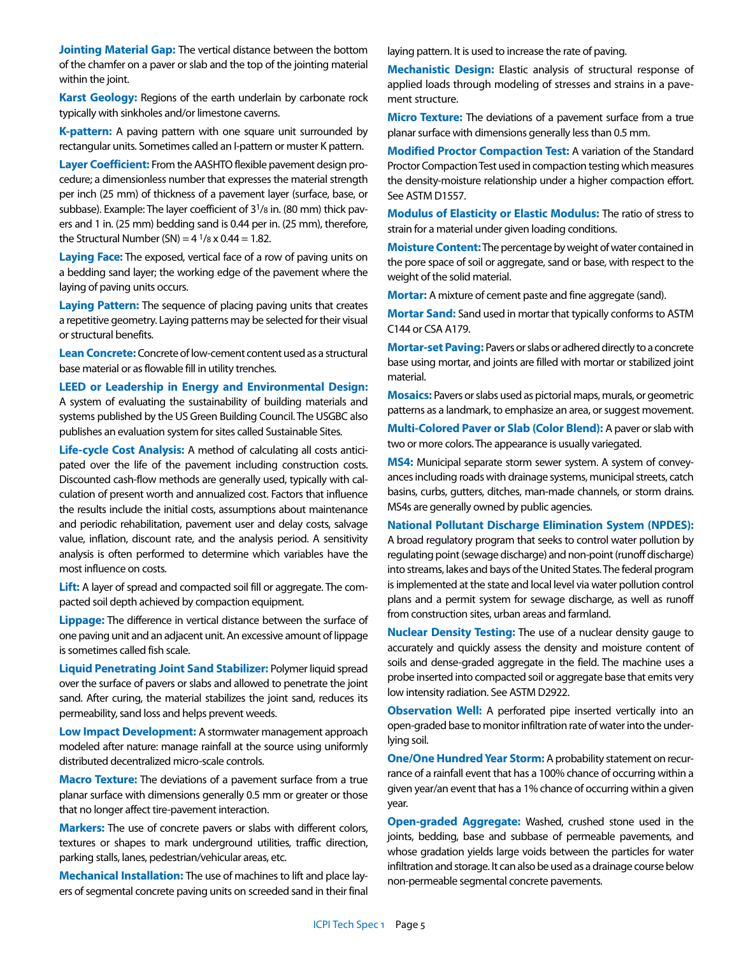**Jointing Material Gap:** The vertical distance between the bottom of the chamfer on a paver or slab and the top of the jointing material within the joint.

**Karst Geology:** Regions of the earth underlain by carbonate rock typically with sinkholes and/or limestone caverns.

**K-pattern:** A paving pattern with one square unit surrounded by rectangular units. Sometimes called an I-pattern or muster K pattern.

**Layer Coefficient:** From the AASHTO flexible pavement design procedure; a dimensionless number that expresses the material strength per inch (25 mm) of thickness of a pavement layer (surface, base, or subbase). Example: The layer coefficient of 31/8 in. (80 mm) thick pavers and 1 in. (25 mm) bedding sand is 0.44 per in. (25 mm), therefore, the Structural Number (SN) =  $4 \frac{1}{8}$  x 0.44 = 1.82.

**Laying Face:** The exposed, vertical face of a row of paving units on a bedding sand layer; the working edge of the pavement where the laying of paving units occurs.

**Laying Pattern:** The sequence of placing paving units that creates a repetitive geometry. Laying patterns may be selected for their visual or structural benefits.

**Lean Concrete:** Concrete of low-cement content used as a structural base material or as flowable fill in utility trenches.

## **LEED or Leadership in Energy and Environmental Design:**

A system of evaluating the sustainability of building materials and systems published by the US Green Building Council. The USGBC also publishes an evaluation system for sites called Sustainable Sites.

**Life-cycle Cost Analysis:** A method of calculating all costs anticipated over the life of the pavement including construction costs. Discounted cash-flow methods are generally used, typically with calculation of present worth and annualized cost. Factors that influence the results include the initial costs, assumptions about maintenance and periodic rehabilitation, pavement user and delay costs, salvage value, inflation, discount rate, and the analysis period. A sensitivity analysis is often performed to determine which variables have the most influence on costs.

**Lift:** A layer of spread and compacted soil fill or aggregate. The compacted soil depth achieved by compaction equipment.

**Lippage:** The difference in vertical distance between the surface of one paving unit and an adjacent unit. An excessive amount of lippage is sometimes called fish scale.

**Liquid Penetrating Joint Sand Stabilizer:** Polymer liquid spread over the surface of pavers or slabs and allowed to penetrate the joint sand. After curing, the material stabilizes the joint sand, reduces its permeability, sand loss and helps prevent weeds.

**Low Impact Development:** A stormwater management approach modeled after nature: manage rainfall at the source using uniformly distributed decentralized micro-scale controls.

**Macro Texture:** The deviations of a pavement surface from a true planar surface with dimensions generally 0.5 mm or greater or those that no longer affect tire-pavement interaction.

**Markers:** The use of concrete pavers or slabs with different colors, textures or shapes to mark underground utilities, traffic direction, parking stalls, lanes, pedestrian/vehicular areas, etc.

**Mechanical Installation:** The use of machines to lift and place layers of segmental concrete paving units on screeded sand in their final laying pattern. It is used to increase the rate of paving.

**Mechanistic Design:** Elastic analysis of structural response of applied loads through modeling of stresses and strains in a pavement structure.

**Micro Texture:** The deviations of a pavement surface from a true planar surface with dimensions generally less than 0.5 mm.

**Modified Proctor Compaction Test:** A variation of the Standard Proctor Compaction Test used in compaction testing which measures the density-moisture relationship under a higher compaction effort. See ASTM D1557.

**Modulus of Elasticity or Elastic Modulus:** The ratio of stress to strain for a material under given loading conditions.

**Moisture Content:** The percentage by weight of water contained in the pore space of soil or aggregate, sand or base, with respect to the weight of the solid material.

**Mortar:** A mixture of cement paste and fine aggregate (sand).

**Mortar Sand:** Sand used in mortar that typically conforms to ASTM C144 or CSA A179.

**Mortar-set Paving:** Pavers or slabs or adhered directly to a concrete base using mortar, and joints are filled with mortar or stabilized joint material.

**Mosaics:** Pavers or slabs used as pictorial maps, murals, or geometric patterns as a landmark, to emphasize an area, or suggest movement.

**Multi-Colored Paver or Slab (Color Blend):** A paver or slab with two or more colors. The appearance is usually variegated.

**MS4:** Municipal separate storm sewer system. A system of conveyances including roads with drainage systems, municipal streets, catch basins, curbs, gutters, ditches, man-made channels, or storm drains. MS4s are generally owned by public agencies.

**National Pollutant Discharge Elimination System (NPDES):** A broad regulatory program that seeks to control water pollution by regulating point (sewage discharge) and non-point (runoff discharge) into streams, lakes and bays of the United States. The federal program is implemented at the state and local level via water pollution control plans and a permit system for sewage discharge, as well as runoff from construction sites, urban areas and farmland.

**Nuclear Density Testing:** The use of a nuclear density gauge to accurately and quickly assess the density and moisture content of soils and dense-graded aggregate in the field. The machine uses a probe inserted into compacted soil or aggregate base that emits very low intensity radiation. See ASTM D2922.

**Observation Well:** A perforated pipe inserted vertically into an open-graded base to monitor infiltration rate of water into the underlying soil.

**One/One Hundred Year Storm:** A probability statement on recurrance of a rainfall event that has a 100% chance of occurring within a given year/an event that has a 1% chance of occurring within a given year.

**Open-graded Aggregate:** Washed, crushed stone used in the joints, bedding, base and subbase of permeable pavements, and whose gradation yields large voids between the particles for water infiltration and storage. It can also be used as a drainage course below non-permeable segmental concrete pavements.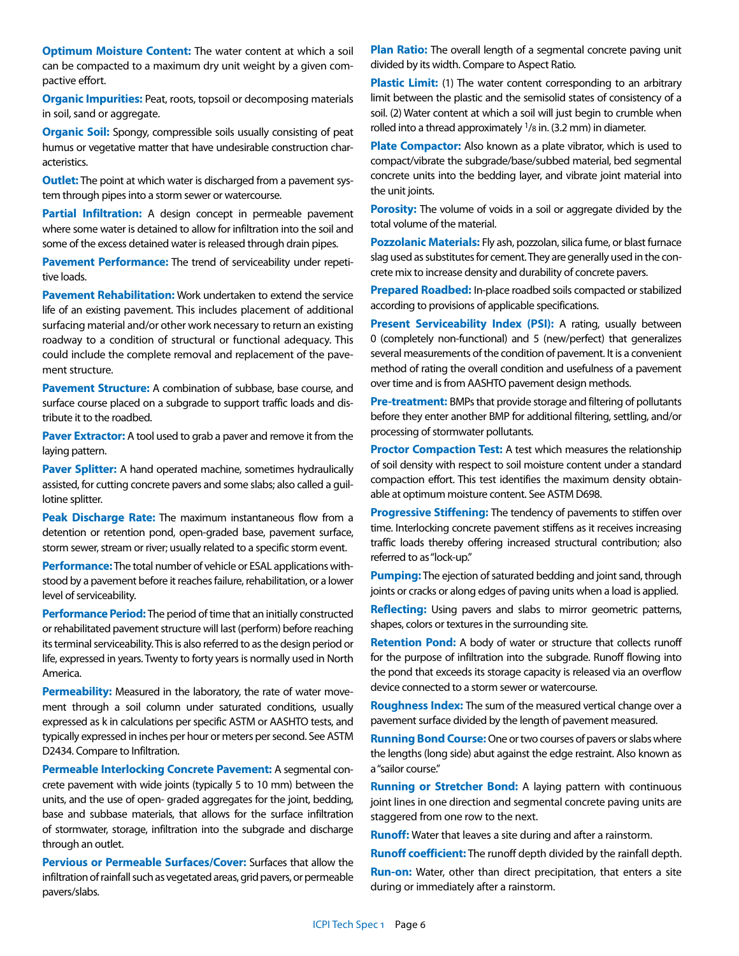**Optimum Moisture Content:** The water content at which a soil can be compacted to a maximum dry unit weight by a given compactive effort.

**Organic Impurities:** Peat, roots, topsoil or decomposing materials in soil, sand or aggregate.

**Organic Soil:** Spongy, compressible soils usually consisting of peat humus or vegetative matter that have undesirable construction characteristics.

**Outlet:** The point at which water is discharged from a pavement system through pipes into a storm sewer or watercourse.

Partial Infiltration: A design concept in permeable pavement where some water is detained to allow for infiltration into the soil and some of the excess detained water is released through drain pipes.

**Pavement Performance:** The trend of serviceability under repetitive loads.

**Pavement Rehabilitation:** Work undertaken to extend the service life of an existing pavement. This includes placement of additional surfacing material and/or other work necessary to return an existing roadway to a condition of structural or functional adequacy. This could include the complete removal and replacement of the pavement structure.

**Pavement Structure:** A combination of subbase, base course, and surface course placed on a subgrade to support traffic loads and distribute it to the roadbed.

**Paver Extractor:** A tool used to grab a paver and remove it from the laying pattern.

**Paver Splitter:** A hand operated machine, sometimes hydraulically assisted, for cutting concrete pavers and some slabs; also called a guillotine splitter.

**Peak Discharge Rate:** The maximum instantaneous flow from a detention or retention pond, open-graded base, pavement surface, storm sewer, stream or river; usually related to a specific storm event.

**Performance:** The total number of vehicle or ESAL applications withstood by a pavement before it reaches failure, rehabilitation, or a lower level of serviceability.

**Performance Period:** The period of time that an initially constructed or rehabilitated pavement structure will last (perform) before reaching its terminal serviceability. This is also referred to as the design period or life, expressed in years. Twenty to forty years is normally used in North America.

**Permeability:** Measured in the laboratory, the rate of water movement through a soil column under saturated conditions, usually expressed as k in calculations per specific ASTM or AASHTO tests, and typically expressed in inches per hour or meters per second. See ASTM D2434. Compare to Infiltration.

**Permeable Interlocking Concrete Pavement:** A segmental concrete pavement with wide joints (typically 5 to 10 mm) between the units, and the use of open- graded aggregates for the joint, bedding, base and subbase materials, that allows for the surface infiltration of stormwater, storage, infiltration into the subgrade and discharge through an outlet.

**Pervious or Permeable Surfaces/Cover:** Surfaces that allow the infiltration of rainfall such as vegetated areas, grid pavers, or permeable pavers/slabs.

**Plan Ratio:** The overall length of a segmental concrete paving unit divided by its width. Compare to Aspect Ratio.

**Plastic Limit:** (1) The water content corresponding to an arbitrary limit between the plastic and the semisolid states of consistency of a soil. (2) Water content at which a soil will just begin to crumble when rolled into a thread approximately <sup>1</sup>/8 in. (3.2 mm) in diameter.

**Plate Compactor:** Also known as a plate vibrator, which is used to compact/vibrate the subgrade/base/subbed material, bed segmental concrete units into the bedding layer, and vibrate joint material into the unit joints.

**Porosity:** The volume of voids in a soil or aggregate divided by the total volume of the material.

**Pozzolanic Materials:** Fly ash, pozzolan, silica fume, or blast furnace slag used as substitutes for cement. They are generally used in the concrete mix to increase density and durability of concrete pavers.

**Prepared Roadbed:** In-place roadbed soils compacted or stabilized according to provisions of applicable specifications.

**Present Serviceability Index (PSI):** A rating, usually between 0 (completely non-functional) and 5 (new/perfect) that generalizes several measurements of the condition of pavement. It is a convenient method of rating the overall condition and usefulness of a pavement over time and is from AASHTO pavement design methods.

**Pre-treatment:** BMPs that provide storage and filtering of pollutants before they enter another BMP for additional filtering, settling, and/or processing of stormwater pollutants.

**Proctor Compaction Test:** A test which measures the relationship of soil density with respect to soil moisture content under a standard compaction effort. This test identifies the maximum density obtainable at optimum moisture content. See ASTM D698.

**Progressive Stiffening:** The tendency of pavements to stiffen over time. Interlocking concrete pavement stiffens as it receives increasing traffic loads thereby offering increased structural contribution; also referred to as "lock-up."

**Pumping:** The ejection of saturated bedding and joint sand, through joints or cracks or along edges of paving units when a load is applied.

**Reflecting:** Using pavers and slabs to mirror geometric patterns, shapes, colors or textures in the surrounding site.

**Retention Pond:** A body of water or structure that collects runoff for the purpose of infiltration into the subgrade. Runoff flowing into the pond that exceeds its storage capacity is released via an overflow device connected to a storm sewer or watercourse.

**Roughness Index:** The sum of the measured vertical change over a pavement surface divided by the length of pavement measured.

**Running Bond Course:** One or two courses of pavers or slabs where the lengths (long side) abut against the edge restraint. Also known as a "sailor course."

**Running or Stretcher Bond:** A laying pattern with continuous joint lines in one direction and segmental concrete paving units are staggered from one row to the next.

**Runoff:** Water that leaves a site during and after a rainstorm.

**Runoff coefficient:** The runoff depth divided by the rainfall depth.

**Run-on:** Water, other than direct precipitation, that enters a site during or immediately after a rainstorm.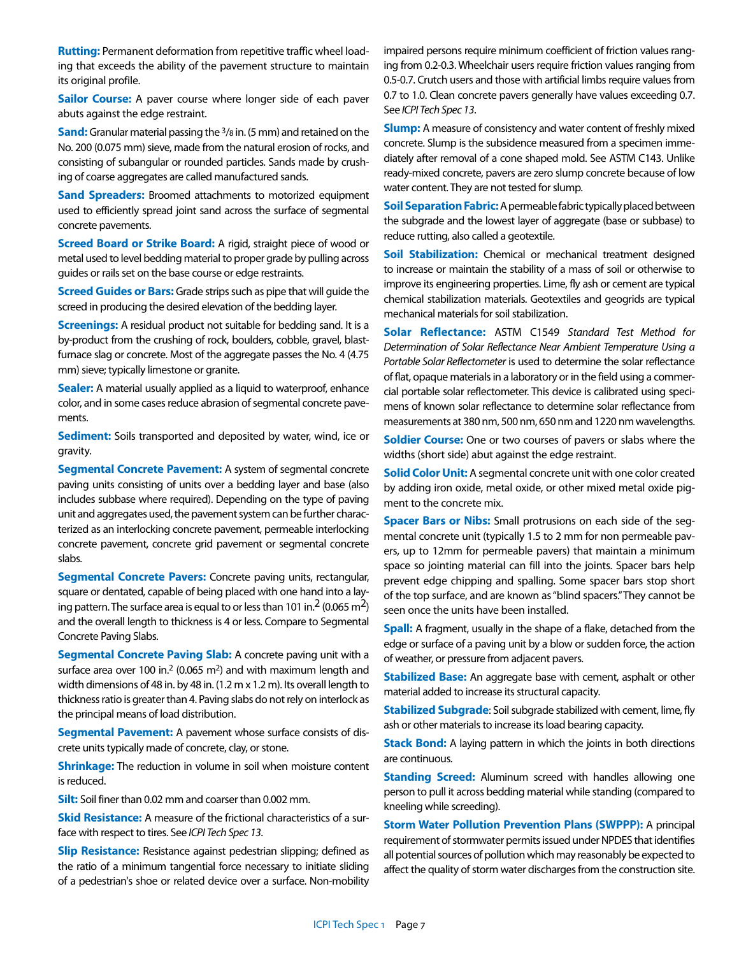**Rutting:** Permanent deformation from repetitive traffic wheel loading that exceeds the ability of the pavement structure to maintain its original profile.

**Sailor Course:** A paver course where longer side of each paver abuts against the edge restraint.

**Sand:** Granular material passing the <sup>3</sup>/8 in. (5 mm) and retained on the No. 200 (0.075 mm) sieve, made from the natural erosion of rocks, and consisting of subangular or rounded particles. Sands made by crushing of coarse aggregates are called manufactured sands.

**Sand Spreaders:** Broomed attachments to motorized equipment used to efficiently spread joint sand across the surface of segmental concrete pavements.

**Screed Board or Strike Board:** A rigid, straight piece of wood or metal used to level bedding material to proper grade by pulling across guides or rails set on the base course or edge restraints.

**Screed Guides or Bars:** Grade strips such as pipe that will guide the screed in producing the desired elevation of the bedding layer.

**Screenings:** A residual product not suitable for bedding sand. It is a by-product from the crushing of rock, boulders, cobble, gravel, blastfurnace slag or concrete. Most of the aggregate passes the No. 4 (4.75 mm) sieve; typically limestone or granite.

**Sealer:** A material usually applied as a liquid to waterproof, enhance color, and in some cases reduce abrasion of segmental concrete pavements.

**Sediment:** Soils transported and deposited by water, wind, ice or gravity.

**Segmental Concrete Pavement:** A system of segmental concrete paving units consisting of units over a bedding layer and base (also includes subbase where required). Depending on the type of paving unit and aggregates used, the pavement system can be further characterized as an interlocking concrete pavement, permeable interlocking concrete pavement, concrete grid pavement or segmental concrete slabs.

**Segmental Concrete Pavers:** Concrete paving units, rectangular, square or dentated, capable of being placed with one hand into a laying pattern. The surface area is equal to or less than 101 in.<sup>2</sup> (0.065 m<sup>2</sup>) and the overall length to thickness is 4 or less. Compare to Segmental Concrete Paving Slabs.

**Segmental Concrete Paving Slab:** A concrete paving unit with a surface area over 100 in.2 (0.065 m2) and with maximum length and width dimensions of 48 in. by 48 in. (1.2 m x 1.2 m). Its overall length to thickness ratio is greater than 4. Paving slabs do not rely on interlock as the principal means of load distribution.

**Segmental Pavement:** A pavement whose surface consists of discrete units typically made of concrete, clay, or stone.

**Shrinkage:** The reduction in volume in soil when moisture content is reduced.

**Silt:** Soil finer than 0.02 mm and coarser than 0.002 mm.

**Skid Resistance:** A measure of the frictional characteristics of a surface with respect to tires. See *ICPI Tech Spec 13*.

**Slip Resistance:** Resistance against pedestrian slipping; defined as the ratio of a minimum tangential force necessary to initiate sliding of a pedestrian's shoe or related device over a surface. Non-mobility

impaired persons require minimum coefficient of friction values ranging from 0.2-0.3. Wheelchair users require friction values ranging from 0.5-0.7. Crutch users and those with artificial limbs require values from 0.7 to 1.0. Clean concrete pavers generally have values exceeding 0.7. See *ICPI Tech Spec 13*.

**Slump:** A measure of consistency and water content of freshly mixed concrete. Slump is the subsidence measured from a specimen immediately after removal of a cone shaped mold. See ASTM C143. Unlike ready-mixed concrete, pavers are zero slump concrete because of low water content. They are not tested for slump.

**Soil Separation Fabric:** A permeable fabric typically placed between the subgrade and the lowest layer of aggregate (base or subbase) to reduce rutting, also called a geotextile.

**Soil Stabilization:** Chemical or mechanical treatment designed to increase or maintain the stability of a mass of soil or otherwise to improve its engineering properties. Lime, fly ash or cement are typical chemical stabilization materials. Geotextiles and geogrids are typical mechanical materials for soil stabilization.

**Solar Reflectance:** ASTM C1549 *Standard Test Method for Determination of Solar Reflectance Near Ambient Temperature Using a Portable Solar Reflectometer* is used to determine the solar reflectance of flat, opaque materials in a laboratory or in the field using a commercial portable solar reflectometer. This device is calibrated using specimens of known solar reflectance to determine solar reflectance from measurements at 380 nm, 500 nm, 650 nm and 1220 nm wavelengths.

**Soldier Course:** One or two courses of pavers or slabs where the widths (short side) abut against the edge restraint.

**Solid Color Unit:** A segmental concrete unit with one color created by adding iron oxide, metal oxide, or other mixed metal oxide pigment to the concrete mix.

**Spacer Bars or Nibs:** Small protrusions on each side of the segmental concrete unit (typically 1.5 to 2 mm for non permeable pavers, up to 12mm for permeable pavers) that maintain a minimum space so jointing material can fill into the joints. Spacer bars help prevent edge chipping and spalling. Some spacer bars stop short of the top surface, and are known as "blind spacers." They cannot be seen once the units have been installed.

**Spall:** A fragment, usually in the shape of a flake, detached from the edge or surface of a paving unit by a blow or sudden force, the action of weather, or pressure from adjacent pavers.

**Stabilized Base:** An aggregate base with cement, asphalt or other material added to increase its structural capacity.

**Stabilized Subgrade**: Soil subgrade stabilized with cement, lime, fly ash or other materials to increase its load bearing capacity.

**Stack Bond:** A laying pattern in which the joints in both directions are continuous.

**Standing Screed:** Aluminum screed with handles allowing one person to pull it across bedding material while standing (compared to kneeling while screeding).

**Storm Water Pollution Prevention Plans (SWPPP):** A principal requirement of stormwater permits issued under NPDES that identifies all potential sources of pollution which may reasonably be expected to affect the quality of storm water discharges from the construction site.